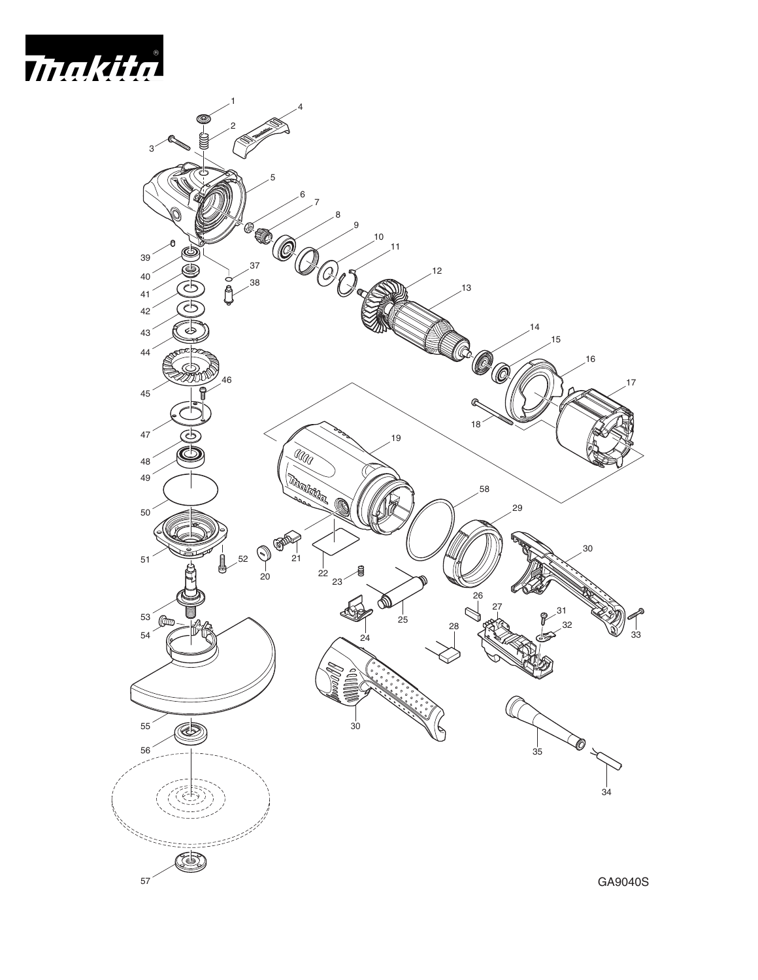



GA9040S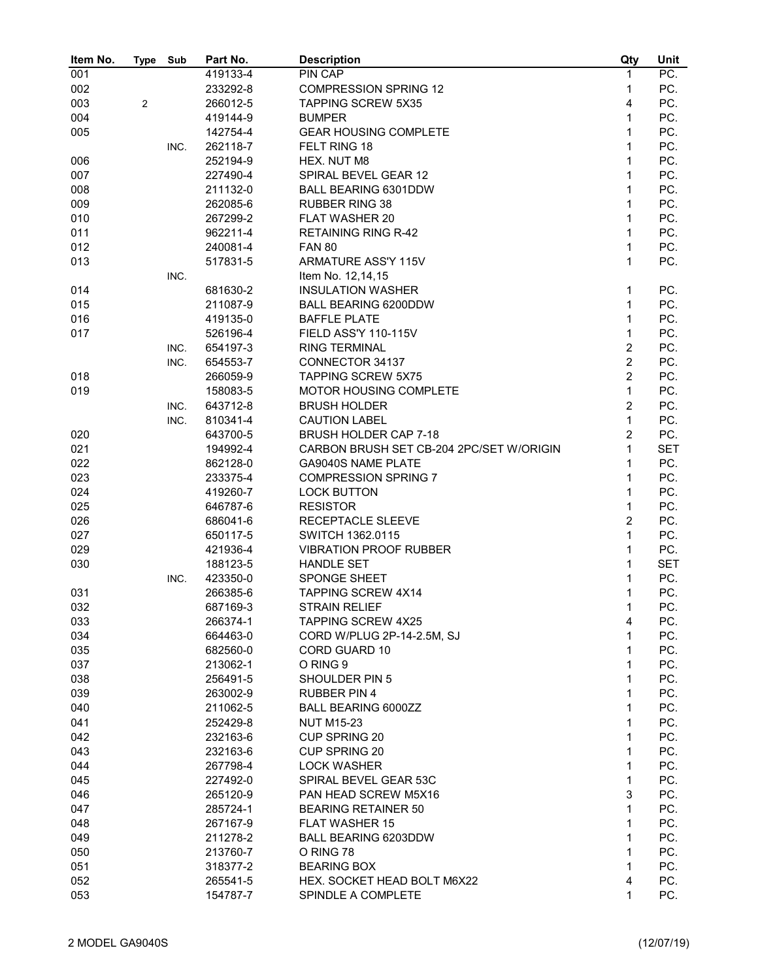| Item No. | Type           | Sub  | Part No. | <b>Description</b>                       | Qty            | Unit       |
|----------|----------------|------|----------|------------------------------------------|----------------|------------|
| 001      |                |      | 419133-4 | PIN CAP                                  | 1              | PC.        |
| 002      |                |      | 233292-8 | <b>COMPRESSION SPRING 12</b>             | 1              | PC.        |
| 003      | $\overline{2}$ |      | 266012-5 | <b>TAPPING SCREW 5X35</b>                | $\overline{4}$ | PC.        |
| 004      |                |      | 419144-9 | <b>BUMPER</b>                            | $\mathbf{1}$   | PC.        |
| 005      |                |      | 142754-4 | <b>GEAR HOUSING COMPLETE</b>             | $\mathbf{1}$   | PC.        |
|          |                | INC. | 262118-7 | FELT RING 18                             | $\mathbf{1}$   | PC.        |
| 006      |                |      | 252194-9 | HEX. NUT M8                              | $\mathbf{1}$   | PC.        |
| 007      |                |      | 227490-4 | SPIRAL BEVEL GEAR 12                     | $\mathbf{1}$   | PC.        |
| 008      |                |      | 211132-0 | BALL BEARING 6301DDW                     | 1              | PC.        |
| 009      |                |      | 262085-6 | <b>RUBBER RING 38</b>                    | $\mathbf{1}$   | PC.        |
| 010      |                |      | 267299-2 | FLAT WASHER 20                           | $\mathbf{1}$   | PC.        |
| 011      |                |      | 962211-4 | <b>RETAINING RING R-42</b>               | $\mathbf{1}$   | PC.        |
|          |                |      |          |                                          | $\mathbf{1}$   | PC.        |
| 012      |                |      | 240081-4 | <b>FAN 80</b>                            |                |            |
| 013      |                |      | 517831-5 | <b>ARMATURE ASS'Y 115V</b>               | $\mathbf{1}$   | PC.        |
|          |                | INC. |          | Item No. 12,14,15                        |                |            |
| 014      |                |      | 681630-2 | <b>INSULATION WASHER</b>                 | 1              | PC.        |
| 015      |                |      | 211087-9 | <b>BALL BEARING 6200DDW</b>              | $\mathbf{1}$   | PC.        |
| 016      |                |      | 419135-0 | <b>BAFFLE PLATE</b>                      | $\mathbf{1}$   | PC.        |
| 017      |                |      | 526196-4 | FIELD ASS'Y 110-115V                     | $\mathbf{1}$   | PC.        |
|          |                | INC. | 654197-3 | <b>RING TERMINAL</b>                     | $\overline{c}$ | PC.        |
|          |                | INC. | 654553-7 | CONNECTOR 34137                          | $\overline{c}$ | PC.        |
| 018      |                |      | 266059-9 | <b>TAPPING SCREW 5X75</b>                | $\overline{c}$ | PC.        |
| 019      |                |      | 158083-5 | MOTOR HOUSING COMPLETE                   | $\mathbf{1}$   | PC.        |
|          |                | INC. | 643712-8 | <b>BRUSH HOLDER</b>                      | $\overline{c}$ | PC.        |
|          |                | INC. | 810341-4 | <b>CAUTION LABEL</b>                     | $\mathbf{1}$   | PC.        |
| 020      |                |      | 643700-5 | BRUSH HOLDER CAP 7-18                    | $\overline{2}$ | PC.        |
| 021      |                |      | 194992-4 | CARBON BRUSH SET CB-204 2PC/SET W/ORIGIN | $\mathbf{1}$   | <b>SET</b> |
| 022      |                |      | 862128-0 | <b>GA9040S NAME PLATE</b>                | 1              | PC.        |
| 023      |                |      | 233375-4 | <b>COMPRESSION SPRING 7</b>              | $\mathbf{1}$   | PC.        |
| 024      |                |      | 419260-7 | <b>LOCK BUTTON</b>                       | $\mathbf{1}$   | PC.        |
| 025      |                |      | 646787-6 | <b>RESISTOR</b>                          | $\mathbf{1}$   | PC.        |
| 026      |                |      | 686041-6 | RECEPTACLE SLEEVE                        | $\overline{2}$ | PC.        |
| 027      |                |      | 650117-5 | SWITCH 1362.0115                         | $\mathbf{1}$   | PC.        |
| 029      |                |      | 421936-4 | <b>VIBRATION PROOF RUBBER</b>            | $\mathbf{1}$   | PC.        |
| 030      |                |      | 188123-5 | HANDLE SET                               | $\mathbf{1}$   | <b>SET</b> |
|          |                | INC. | 423350-0 | SPONGE SHEET                             | 1              | PC.        |
| 031      |                |      | 266385-6 | <b>TAPPING SCREW 4X14</b>                | 1              | PC.        |
| 032      |                |      | 687169-3 | STRAIN RELIEF                            | $\mathbf{1}$   | PC.        |
| 033      |                |      | 266374-1 | TAPPING SCREW 4X25                       | 4              | PC.        |
| 034      |                |      | 664463-0 | CORD W/PLUG 2P-14-2.5M, SJ               | 1              | PC.        |
| 035      |                |      | 682560-0 | <b>CORD GUARD 10</b>                     | 1              | PC.        |
| 037      |                |      | 213062-1 | O RING 9                                 | 1              | PC.        |
| 038      |                |      | 256491-5 | SHOULDER PIN 5                           | 1              | PC.        |
| 039      |                |      | 263002-9 | <b>RUBBER PIN 4</b>                      | 1              | PC.        |
| 040      |                |      | 211062-5 | BALL BEARING 6000ZZ                      | 1              | PC.        |
| 041      |                |      | 252429-8 | <b>NUT M15-23</b>                        | 1              | PC.        |
| 042      |                |      | 232163-6 | <b>CUP SPRING 20</b>                     | 1              | PC.        |
| 043      |                |      | 232163-6 | <b>CUP SPRING 20</b>                     | 1              | PC.        |
| 044      |                |      | 267798-4 | <b>LOCK WASHER</b>                       | 1              | PC.        |
| 045      |                |      | 227492-0 | SPIRAL BEVEL GEAR 53C                    | 1              | PC.        |
|          |                |      |          |                                          |                |            |
| 046      |                |      | 265120-9 | PAN HEAD SCREW M5X16                     | 3              | PC.        |
| 047      |                |      | 285724-1 | <b>BEARING RETAINER 50</b>               | 1              | PC.        |
| 048      |                |      | 267167-9 | <b>FLAT WASHER 15</b>                    | 1              | PC.        |
| 049      |                |      | 211278-2 | <b>BALL BEARING 6203DDW</b>              | 1              | PC.        |
| 050      |                |      | 213760-7 | O RING 78                                | 1              | PC.        |
| 051      |                |      | 318377-2 | <b>BEARING BOX</b>                       | 1              | PC.        |
| 052      |                |      | 265541-5 | HEX. SOCKET HEAD BOLT M6X22              | 4              | PC.        |
| 053      |                |      | 154787-7 | SPINDLE A COMPLETE                       | 1              | PC.        |